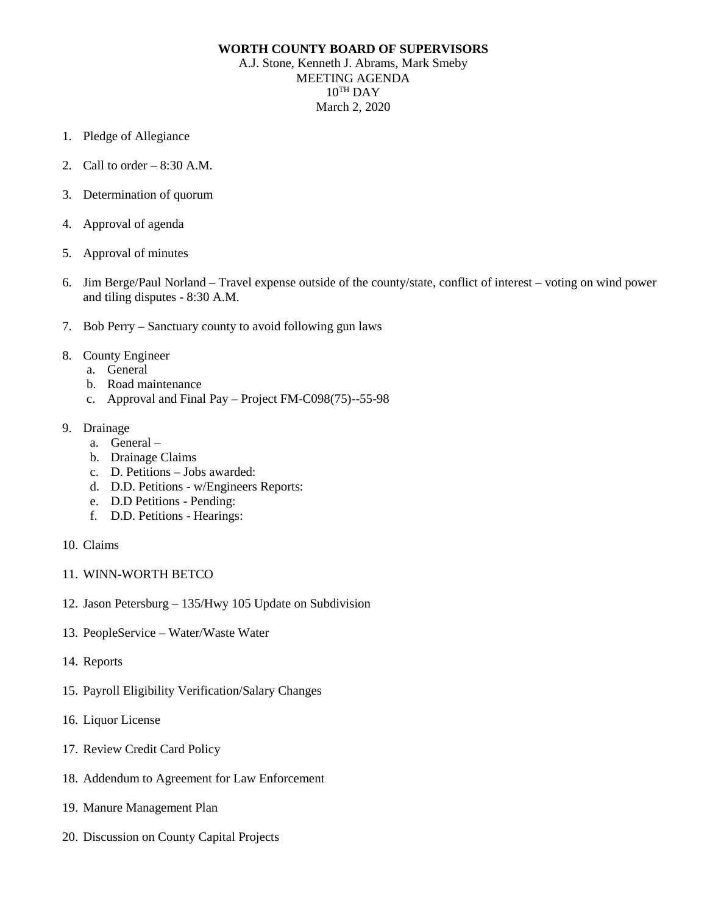## **WORTH COUNTY BOARD OF SUPERVISORS**

A.J. Stone, Kenneth J. Abrams, Mark Smeby MEETING AGENDA  $10^{TH}$  DAY March 2, 2020

- 1. Pledge of Allegiance
- 2. Call to order 8:30 A.M.
- 3. Determination of quorum
- 4. Approval of agenda
- 5. Approval of minutes
- 6. Jim Berge/Paul Norland Travel expense outside of the county/state, conflict of interest voting on wind power and tiling disputes - 8:30 A.M.
- 7. Bob Perry Sanctuary county to avoid following gun laws
- 8. County Engineer
	- a. General
	- b. Road maintenance
	- c. Approval and Final Pay Project FM-C098(75)--55-98
- 9. Drainage
	- a. General –
	- b. Drainage Claims
	- c. D. Petitions Jobs awarded:
	- d. D.D. Petitions w/Engineers Reports:
	- e. D.D Petitions Pending:
	- f. D.D. Petitions Hearings:
- 10. Claims
- 11. WINN-WORTH BETCO
- 12. Jason Petersburg 135/Hwy 105 Update on Subdivision
- 13. PeopleService Water/Waste Water
- 14. Reports
- 15. Payroll Eligibility Verification/Salary Changes
- 16. Liquor License
- 17. Review Credit Card Policy
- 18. Addendum to Agreement for Law Enforcement
- 19. Manure Management Plan
- 20. Discussion on County Capital Projects